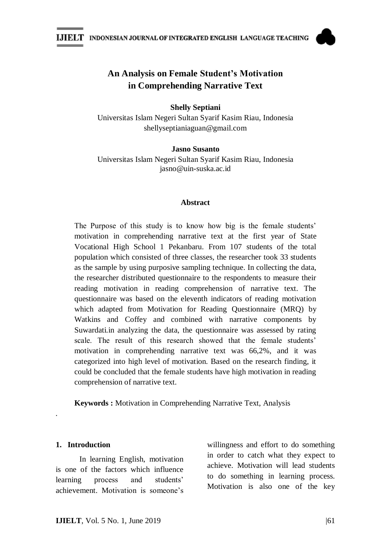

# **An Analysis on Female Student's Motivation in Comprehending Narrative Text**

#### **Shelly Septiani**

Universitas Islam Negeri Sultan Syarif Kasim Riau, Indonesia [shellyseptianiaguan@gmail.com](mailto:shellyseptianiaguan@gmail.com)

**Jasno Susanto** Universitas Islam Negeri Sultan Syarif Kasim Riau, Indonesia [jasno@uin-suska.ac.id](mailto:nuardi@uin-suska.ac.id)

#### **Abstract**

The Purpose of this study is to know how big is the female students' motivation in comprehending narrative text at the first year of State Vocational High School 1 Pekanbaru. From 107 students of the total population which consisted of three classes, the researcher took 33 students as the sample by using purposive sampling technique. In collecting the data, the researcher distributed questionnaire to the respondents to measure their reading motivation in reading comprehension of narrative text. The questionnaire was based on the eleventh indicators of reading motivation which adapted from Motivation for Reading Questionnaire (MRQ) by Watkins and Coffey and combined with narrative components by Suwardati.in analyzing the data, the questionnaire was assessed by rating scale. The result of this research showed that the female students' motivation in comprehending narrative text was 66,2%, and it was categorized into high level of motivation. Based on the research finding, it could be concluded that the female students have high motivation in reading comprehension of narrative text.

**Keywords :** Motivation in Comprehending Narrative Text, Analysis

#### **1. Introduction**

*.*

In learning English, motivation is one of the factors which influence learning process and students' achievement. Motivation is someone's willingness and effort to do something in order to catch what they expect to achieve. Motivation will lead students to do something in learning process. Motivation is also one of the key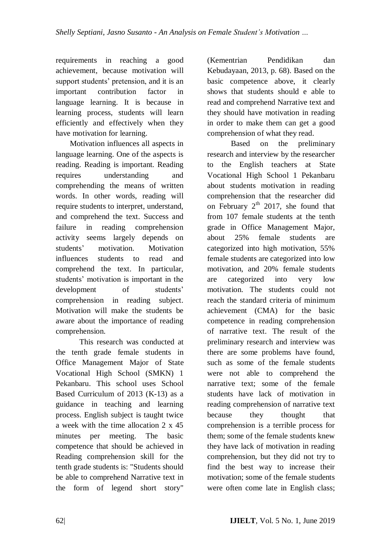requirements in reaching a good achievement, because motivation will support students' pretension, and it is an important contribution factor in language learning. It is because in learning process, students will learn efficiently and effectively when they have motivation for learning.

Motivation influences all aspects in language learning. One of the aspects is reading. Reading is important. Reading requires understanding and comprehending the means of written words. In other words, reading will require students to interpret, understand, and comprehend the text. Success and failure in reading comprehension activity seems largely depends on students' motivation. Motivation influences students to read and comprehend the text. In particular, students' motivation is important in the development of students' comprehension in reading subject. Motivation will make the students be aware about the importance of reading comprehension.

This research was conducted at the tenth grade female students in Office Management Major of State Vocational High School (SMKN) 1 Pekanbaru. This school uses School Based Curriculum of 2013 (K-13) as a guidance in teaching and learning process. English subject is taught twice a week with the time allocation 2 x 45 minutes per meeting. The basic competence that should be achieved in Reading comprehension skill for the tenth grade students is: "Students should be able to comprehend Narrative text in the form of legend short story"

(Kementrian Pendidikan dan Kebudayaan, 2013, p. 68). Based on the basic competence above, it clearly shows that students should e able to read and comprehend Narrative text and they should have motivation in reading in order to make them can get a good comprehension of what they read.

Based on the preliminary research and interview by the researcher to the English teachers at State Vocational High School 1 Pekanbaru about students motivation in reading comprehension that the researcher did on February  $2<sup>th</sup>$  2017, she found that from 107 female students at the tenth grade in Office Management Major, about 25% female students are categorized into high motivation, 55% female students are categorized into low motivation, and 20% female students are categorized into very low motivation. The students could not reach the standard criteria of minimum achievement (CMA) for the basic competence in reading comprehension of narrative text. The result of the preliminary research and interview was there are some problems have found, such as some of the female students were not able to comprehend the narrative text; some of the female students have lack of motivation in reading comprehension of narrative text because they thought that comprehension is a terrible process for them; some of the female students knew they have lack of motivation in reading comprehension, but they did not try to find the best way to increase their motivation; some of the female students were often come late in English class;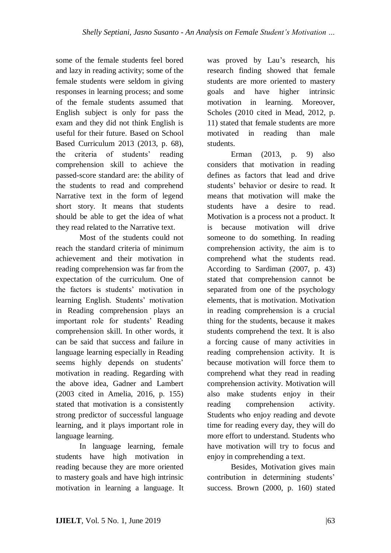some of the female students feel bored and lazy in reading activity; some of the female students were seldom in giving responses in learning process; and some of the female students assumed that English subject is only for pass the exam and they did not think English is useful for their future. Based on School Based Curriculum 2013 (2013, p. 68), the criteria of students' reading comprehension skill to achieve the passed-score standard are: the ability of the students to read and comprehend Narrative text in the form of legend short story. It means that students should be able to get the idea of what they read related to the Narrative text.

Most of the students could not reach the standard criteria of minimum achievement and their motivation in reading comprehension was far from the expectation of the curriculum. One of the factors is students' motivation in learning English. Students' motivation in Reading comprehension plays an important role for students' Reading comprehension skill. In other words, it can be said that success and failure in language learning especially in Reading seems highly depends on students' motivation in reading. Regarding with the above idea, Gadner and Lambert (2003 cited in Amelia, 2016, p. 155) stated that motivation is a consistently strong predictor of successful language learning, and it plays important role in language learning.

In language learning, female students have high motivation in reading because they are more oriented to mastery goals and have high intrinsic motivation in learning a language. It was proved by Lau's research, his research finding showed that female students are more oriented to mastery goals and have higher intrinsic motivation in learning. Moreover, Scholes (2010 cited in Mead, 2012, p. 11) stated that female students are more motivated in reading than male students.

Erman (2013, p. 9) also considers that motivation in reading defines as factors that lead and drive students' behavior or desire to read. It means that motivation will make the students have a desire to read. Motivation is a process not a product. It is because motivation will drive someone to do something. In reading comprehension activity, the aim is to comprehend what the students read. According to Sardiman (2007, p. 43) stated that comprehension cannot be separated from one of the psychology elements, that is motivation. Motivation in reading comprehension is a crucial thing for the students, because it makes students comprehend the text. It is also a forcing cause of many activities in reading comprehension activity. It is because motivation will force them to comprehend what they read in reading comprehension activity. Motivation will also make students enjoy in their reading comprehension activity. Students who enjoy reading and devote time for reading every day, they will do more effort to understand. Students who have motivation will try to focus and enjoy in comprehending a text.

Besides, Motivation gives main contribution in determining students' success. Brown (2000, p. 160) stated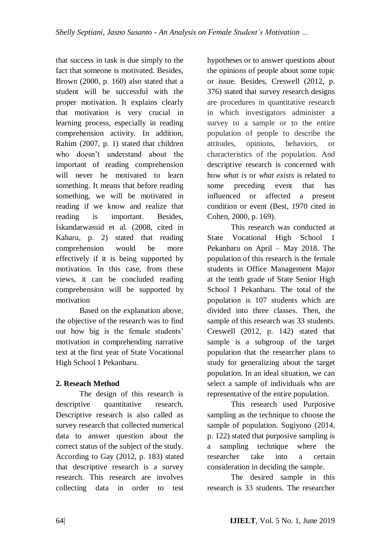that success in task is due simply to the fact that someone is motivated. Besides, Brown (2000, p. 160) also stated that a student will be successful with the proper motivation. It explains clearly that motivation is very crucial in learning process, especially in reading comprehension activity. In addition, Rahim (2007, p. 1) stated that children who doesn't understand about the important of reading comprehension will never be motivated to learn something. It means that before reading something, we will be motivated in reading if we know and realize that reading is important. Besides, Iskandarwassid et al. (2008, cited in Kaharu, p. 2) stated that reading comprehension would be more effectively if it is being supported by motivation. In this case, from these views, it can be concluded reading comprehension will be supported by motivation

Based on the explanation above, the objective of the research was to find out how big is the female students' motivation in comprehending narrative text at the first year of State Vocational High School 1 Pekanbaru.

# **2. Reseach Method**

The design of this research is descriptive quantitative research. Descriptive research is also called as survey research that collected numerical data to answer question about the correct status of the subject of the study. According to Gay (2012, p. 183) stated that descriptive research is a survey research. This research are involves collecting data in order to test hypotheses or to answer questions about the opinions of people about some topic or issue. Besides, Creswell (2012, p. 376) stated that survey research designs are procedures in quantitative research in which investigators administer a survey to a sample or to the entire population of people to describe the attitudes, opinions, behaviors, or characteristics of the population. And descriptive research is concerned with how *what is* or *what exists* is related to some preceding event that has influenced or affected a present condition or event (Best, 1970 cited in Cohen, 2000, p. 169).

This research was conducted at State Vocational High School Pekanbaru on April – May 2018. The population of this research is the female students in Office Management Major at the tenth grade of State Senior High School 1 Pekanbaru. The total of the population is 107 students which are divided into three classes. Then, the sample of this research was 33 students. Creswell (2012, p. 142) stated that sample is a subgroup of the target population that the researcher plans to study for generalizing about the target population. In an ideal situation, we can select a sample of individuals who are representative of the entire population.

This research used Purposive sampling as the technique to choose the sample of population. Sugiyono (2014, p. 122) stated that purposive sampling is a sampling technique where the researcher take into a certain consideration in deciding the sample.

The desired sample in this research is 33 students. The researcher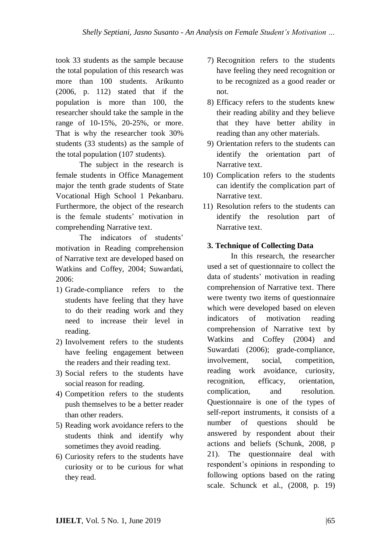took 33 students as the sample because the total population of this research was more than 100 students. Arikunto (2006, p. 112) stated that if the population is more than 100, the researcher should take the sample in the range of 10-15%, 20-25%, or more. That is why the researcher took 30% students (33 students) as the sample of the total population (107 students).

The subject in the research is female students in Office Management major the tenth grade students of State Vocational High School 1 Pekanbaru. Furthermore, the object of the research is the female students' motivation in comprehending Narrative text.

The indicators of students' motivation in Reading comprehension of Narrative text are developed based on Watkins and Coffey, 2004; Suwardati, 2006:

- 1) Grade-compliance refers to the students have feeling that they have to do their reading work and they need to increase their level in reading.
- 2) Involvement refers to the students have feeling engagement between the readers and their reading text.
- 3) Social refers to the students have social reason for reading.
- 4) Competition refers to the students push themselves to be a better reader than other readers.
- 5) Reading work avoidance refers to the students think and identify why sometimes they avoid reading.
- 6) Curiosity refers to the students have curiosity or to be curious for what they read.
- 7) Recognition refers to the students have feeling they need recognition or to be recognized as a good reader or not.
- 8) Efficacy refers to the students knew their reading ability and they believe that they have better ability in reading than any other materials.
- 9) Orientation refers to the students can identify the orientation part of Narrative text.
- 10) Complication refers to the students can identify the complication part of Narrative text.
- 11) Resolution refers to the students can identify the resolution part of Narrative text.

## **3. Technique of Collecting Data**

In this research, the researcher used a set of questionnaire to collect the data of students' motivation in reading comprehension of Narrative text. There were twenty two items of questionnaire which were developed based on eleven indicators of motivation reading comprehension of Narrative text by Watkins and Coffey (2004) and Suwardati (2006); grade-compliance, involvement, social, competition, reading work avoidance, curiosity, recognition, efficacy, orientation, complication, and resolution. Questionnaire is one of the types of self-report instruments, it consists of a number of questions should be answered by respondent about their actions and beliefs (Schunk, 2008, p 21). The questionnaire deal with respondent's opinions in responding to following options based on the rating scale. Schunck et al., (2008, p. 19)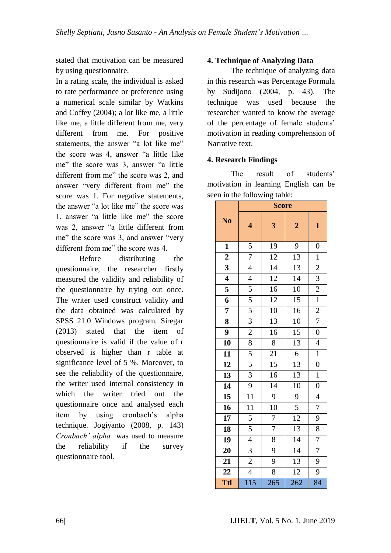stated that motivation can be measured by using questionnaire.

In a rating scale, the individual is asked to rate performance or preference using a numerical scale similar by Watkins and Coffey (2004); a lot like me, a little like me, a little different from me, very different from me. For positive statements, the answer "a lot like me" the score was 4, answer "a little like me" the score was 3, answer "a little different from me" the score was 2, and answer "very different from me" the score was 1. For negative statements, the answer "a lot like me" the score was 1, answer "a little like me" the score was 2, answer "a little different from me" the score was 3, and answer "very different from me" the score was 4.

Before distributing the questionnaire, the researcher firstly measured the validity and reliability of the questionnaire by trying out once. The writer used construct validity and the data obtained was calculated by SPSS 21.0 Windows program. Siregar (2013) stated that the item of questionnaire is valid if the value of r observed is higher than r table at significance level of 5 %. Moreover, to see the reliability of the questionnaire, the writer used internal consistency in which the writer tried out the questionnaire once and analysed each item by using cronbach's alpha technique. Jogiyanto (2008, p. 143) *Cronbach' alpha* was used to measure the reliability if the survey questionnaire tool.

### **4. Technique of Analyzing Data**

The technique of analyzing data in this research was Percentage Formula by Sudijono (2004, p. 43). The technique was used because the researcher wanted to know the average of the percentage of female students' motivation in reading comprehension of Narrative text.

### **4. Research Findings**

The result of students' motivation in learning English can be seen in the following table:

|                         | <b>Score</b>            |                 |                 |                  |
|-------------------------|-------------------------|-----------------|-----------------|------------------|
| N <sub>0</sub>          | $\overline{\mathbf{4}}$ | 3               | $\overline{2}$  | $\mathbf{1}$     |
| $\mathbf{1}$            | 5                       | 19              | 9               | $\boldsymbol{0}$ |
| $\overline{2}$          | $\overline{7}$          | $\overline{12}$ | $\overline{13}$ | $\overline{1}$   |
| $\overline{\mathbf{3}}$ | $\overline{4}$          | 14              | 13              | $\overline{2}$   |
| $\overline{\mathbf{4}}$ | $\overline{4}$          | $\overline{12}$ | 14              | $\frac{1}{3}$    |
| $\overline{\mathbf{5}}$ | 5                       | $\overline{16}$ | $\overline{10}$ | $\overline{2}$   |
| $\overline{\mathbf{6}}$ | $\frac{5}{5}$           | $\overline{12}$ | $\overline{15}$ | $\overline{1}$   |
| 7                       |                         | $\overline{10}$ | 16              | $\overline{2}$   |
| 8                       | $\overline{3}$          | 13              | $\overline{10}$ | $\overline{7}$   |
| 9                       | $\frac{2}{8}$           | 16              | $\overline{15}$ | $\overline{0}$   |
| $\overline{10}$         |                         | $\overline{8}$  | $\overline{13}$ | $\overline{4}$   |
| $\overline{11}$         | 5                       | $\overline{21}$ | $\overline{6}$  | $\overline{1}$   |
| 12                      | $\overline{5}$          | 15              | $\overline{13}$ | $\overline{0}$   |
| $\overline{13}$         | $\overline{3}$          | $\overline{16}$ | 13              | $\overline{1}$   |
| $\overline{14}$         | 9                       | $\frac{14}{1}$  | $1\overline{0}$ | $\overline{0}$   |
| $\overline{15}$         | $\overline{11}$         | $\overline{9}$  | $\overline{9}$  | $\overline{4}$   |
| 16                      | $\overline{11}$         | $\overline{10}$ | 5               | $\overline{7}$   |
| 17                      | $\overline{5}$          | $\overline{7}$  | $\overline{12}$ | $\overline{9}$   |
| 18                      | $\frac{5}{4}$           | $\overline{7}$  | $\overline{13}$ | 8                |
| 19                      |                         | $\overline{8}$  | $\overline{14}$ | $\overline{7}$   |
| 20                      | $\overline{3}$          | 9               | $\overline{14}$ | $\overline{7}$   |
| 21                      | $\overline{2}$          | $\overline{9}$  | $\overline{13}$ | $\overline{9}$   |
| 22                      | $\overline{4}$          | $\overline{8}$  | $\overline{12}$ | $\overline{9}$   |
| Ttl                     | 115                     | 265             | 262             | 84               |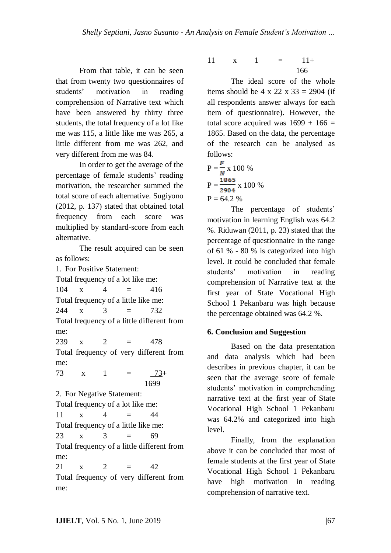From that table, it can be seen that from twenty two questionnaires of students' motivation in reading comprehension of Narrative text which have been answered by thirty three students, the total frequency of a lot like me was 115, a little like me was 265, a little different from me was 262, and very different from me was 84.

In order to get the average of the percentage of female students' reading motivation, the researcher summed the total score of each alternative. Sugiyono (2012, p. 137) stated that obtained total frequency from each score was multiplied by standard-score from each alternative.

The result acquired can be seen as follows:

1. For Positive Statement:

Total frequency of a lot like me:

 $104 \times 4 = 416$ Total frequency of a little like me:

244 x 3 = 732

Total frequency of a little different from me:

239 x 2 = 478

Total frequency of very different from me:

73  $x$  1 = 73+ 1699

2. For Negative Statement:

Total frequency of a lot like me:

11  $x$  4 = 44

Total frequency of a little like me:

23 x 3 =  $69$ 

Total frequency of a little different from me:

21 x 2 = 42 Total frequency of very different from me:

11 x 1 = 
$$
\frac{11}{166}
$$

The ideal score of the whole items should be  $4 \times 22 \times 33 = 2904$  (if all respondents answer always for each item of questionnaire). However, the total score acquired was  $1699 + 166 =$ 1865. Based on the data, the percentage of the research can be analysed as follows:

$$
P = \frac{F}{N} \times 100\%
$$
  
 
$$
P = \frac{1865}{2904} \times 100\%
$$
  
 
$$
P = 64.2\%
$$

The percentage of students' motivation in learning English was 64.2 %. Riduwan (2011, p. 23) stated that the percentage of questionnaire in the range of 61 % - 80 % is categorized into high level. It could be concluded that female students' motivation in reading comprehension of Narrative text at the first year of State Vocational High School 1 Pekanbaru was high because the percentage obtained was 64.2 %.

#### **6. Conclusion and Suggestion**

Based on the data presentation and data analysis which had been describes in previous chapter, it can be seen that the average score of female students' motivation in comprehending narrative text at the first year of State Vocational High School 1 Pekanbaru was 64.2% and categorized into high level.

Finally, from the explanation above it can be concluded that most of female students at the first year of State Vocational High School 1 Pekanbaru have high motivation in reading comprehension of narrative text.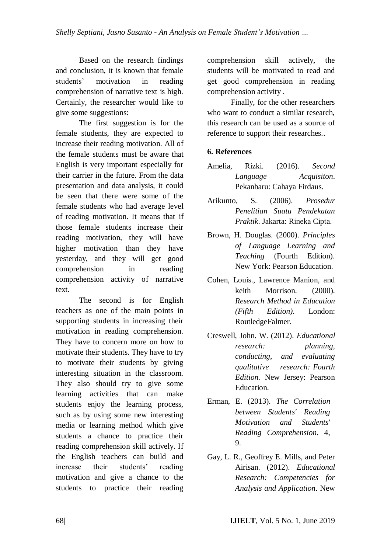Based on the research findings and conclusion, it is known that female students' motivation in reading comprehension of narrative text is high. Certainly, the researcher would like to give some suggestions:

The first suggestion is for the female students, they are expected to increase their reading motivation. All of the female students must be aware that English is very important especially for their carrier in the future. From the data presentation and data analysis, it could be seen that there were some of the female students who had average level of reading motivation. It means that if those female students increase their reading motivation, they will have higher motivation than they have yesterday, and they will get good comprehension in reading comprehension activity of narrative text.

The second is for English teachers as one of the main points in supporting students in increasing their motivation in reading comprehension. They have to concern more on how to motivate their students. They have to try to motivate their students by giving interesting situation in the classroom. They also should try to give some learning activities that can make students enjoy the learning process, such as by using some new interesting media or learning method which give students a chance to practice their reading comprehension skill actively. If the English teachers can build and increase their students' reading motivation and give a chance to the students to practice their reading

comprehension skill actively, the students will be motivated to read and get good comprehension in reading comprehension activity .

Finally, for the other researchers who want to conduct a similar research. this research can be used as a source of reference to support their researches..

## **6. References**

- Amelia, Rizki. (2016). *Second Language Acquisiton*. Pekanbaru: Cahaya Firdaus.
- Arikunto, S. (2006). *Prosedur Penelitian Suatu Pendekatan Praktik*. Jakarta: Rineka Cipta.
- Brown, H. Douglas. (2000). *Principles of Language Learning and Teaching* (Fourth Edition). New York: Pearson Education.
- Cohen, Louis., Lawrence Manion, and keith Morrison. (2000). *Research Method in Education (Fifth Edition)*. London: RoutledgeFalmer.
- Creswell, John. W. (2012). *Educational research: planning, conducting, and evaluating qualitative research: Fourth Edition.* New Jersey: Pearson Education.
- Erman, E. (2013). *The Correlation between Students' Reading Motivation and Students' Reading Comprehension*. 4, 9.
- Gay, L. R., Geoffrey E. Mills, and Peter Airisan. (2012). *Educational Research: Competencies for Analysis and Application*. New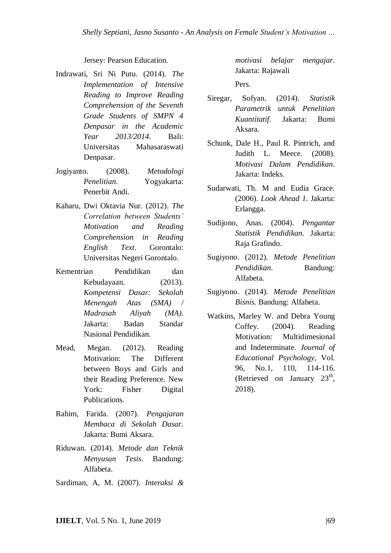Jersey: Pearson Education.

- Indrawati, Sri Ni Putu. (2014). *The Implementation of Intensive Reading to Improve Reading Comprehension of the Seventh Grade Students of SMPN 4 Denpasar in the Academic Year 2013/2014*. Bali: Universitas Mahasaraswati Denpasar.
- Jogiyanto. (2008). *Metodologi Penelitian*. Yogyakarta: Penerbit Andi.
- Kaharu, Dwi Oktavia Nur. (2012). *The Correlation between Students' Motivation and Reading Comprehension in Reading English Text*. Gorontalo: Universitas Negeri Gorontalo.
- Kementrian Pendidikan dan Kebudayaan. (2013). *Kompetensi Dasar: Sekolah Menengah Atas (SMA) / Madrasah Aliyah (MA)*. Jakarta: Badan Standar Nasional Pendidikan.
- Mead, Megan. (2012). Reading Motivation: The Different between Boys and Girls and their Reading Preference. New York: Fisher Digital Publications.
- Rahim, Farida. (2007). *Pengajaran Membaca di Sekolah Dasar.*  Jakarta: Bumi Aksara.
- Riduwan. (2014). *Metode dan Teknik Menyusun Tesis*. Bandung: Alfabeta.
- Sardiman, A, M. (2007). *Interaksi &*

*motivasi belajar mengajar*. Jakarta: Rajawali Pers.

- Siregar, Sofyan. (2014). *Statistik Parametrik untuk Penelitian Kuantitatif*. Jakarta: Bumi Aksara.
- Schunk, Dale H., Paul R. Pintrich, and Judith L. Meece. (2008). *Motivasi Dalam Pendidikan*. Jakarta: Indeks.
- Sudarwati, Th. M and Eudia Grace. (2006). *Look Ahead 1*. Jakarta: Erlangga.
- Sudijono, Anas. (2004). *Pengantar Statistik Pendidikan*. Jakarta: Raja Grafindo.
- Sugiyono. (2012). *Metode Penelitian Pendidikan*. Bandung: Alfabeta.
- Sugiyono. (2014). *Metode Penelitian Bisnis*. Bandung: Alfabeta.
- Watkins, Marley W. and Debra Young Coffey. (2004). Reading Motivation: Multidimesional and Indeterminate. *Journal of Educational Psychology*, Vol. 96, No.1, 110, 114-116. (Retrieved on January  $23<sup>th</sup>$ , 2018).